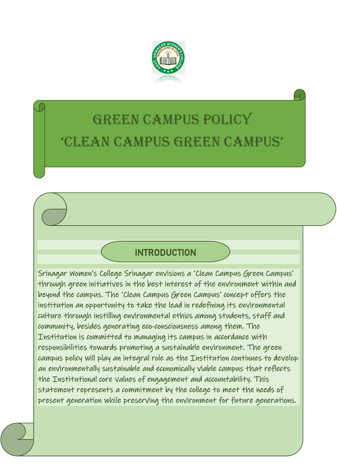

# GREEN CAMPUS POLICY 'CLEAN CAMPUS GREEN CAMPUS'

## INTRODUCTION

Srinagar Women's College Srinagar envisions a 'Clean Campus Green Campus' through green initiatives in the best interest of the environment within and beyond the campus. The 'Clean Campus Green Campus' concept offers the institution an opportunity to take the lead in redefining its environmental culture through instilling environmental ethics among students, staff and community, besides generating eco-consciousness among them. The Institution is committed to managing its campus in accordance with responsibilities towards promoting a sustainable environment. The green campus policy will play an integral role as the Institution continues to develop an environmentally sustainable and economically viable campus that reflects the Institutional core values of engagement and accountability. This statement represents a commitment by the college to meet the needs of present generation while preserving the environment for future generations.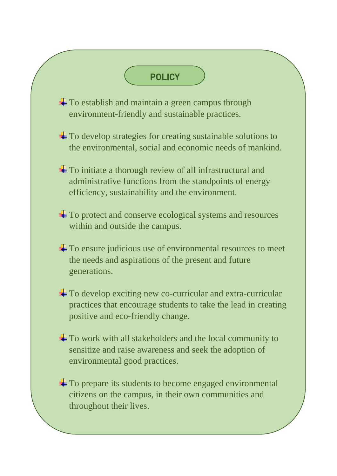## POLICY

- $\pm$  To establish and maintain a green campus through environment-friendly and sustainable practices.
- <sup> $\pm$ </sup> To develop strategies for creating sustainable solutions to the environmental, social and economic needs of mankind.
- To initiate a thorough review of all infrastructural and administrative functions from the standpoints of energy efficiency, sustainability and the environment.
- <sup>1</sup> To protect and conserve ecological systems and resources within and outside the campus.
- <sup>1</sup> To ensure judicious use of environmental resources to meet the needs and aspirations of the present and future generations.
- $\pm$  To develop exciting new co-curricular and extra-curricular practices that encourage students to take the lead in creating positive and eco-friendly change.
- + To work with all stakeholders and the local community to sensitize and raise awareness and seek the adoption of environmental good practices.
- $\pm$  To prepare its students to become engaged environmental citizens on the campus, in their own communities and throughout their lives.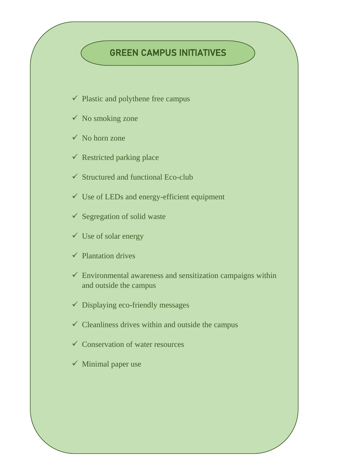#### GREEN CAMPUS INITIATIVES

- $\checkmark$  Plastic and polythene free campus
- $\checkmark$  No smoking zone
- $\checkmark$  No horn zone
- $\checkmark$  Restricted parking place
- $\checkmark$  Structured and functional Eco-club
- ✓ Use of LEDs and energy-efficient equipment
- ✓ Segregation of solid waste
- $\checkmark$  Use of solar energy
- $\checkmark$  Plantation drives
- $\checkmark$  Environmental awareness and sensitization campaigns within and outside the campus
- $\checkmark$  Displaying eco-friendly messages
- $\checkmark$  Cleanliness drives within and outside the campus
- $\checkmark$  Conservation of water resources
- $\checkmark$  Minimal paper use